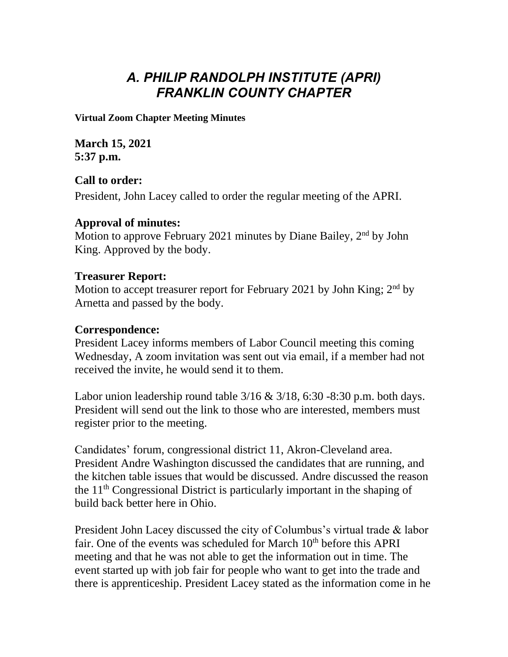# *A. PHILIP RANDOLPH INSTITUTE (APRI) FRANKLIN COUNTY CHAPTER*

**Virtual Zoom Chapter Meeting Minutes**

**March 15, 2021 5:37 p.m.**

## **Call to order:**

President, John Lacey called to order the regular meeting of the APRI.

#### **Approval of minutes:**

Motion to approve February 2021 minutes by Diane Bailey, 2<sup>nd</sup> by John King. Approved by the body.

#### **Treasurer Report:**

Motion to accept treasurer report for February 2021 by John King; 2<sup>nd</sup> by Arnetta and passed by the body.

#### **Correspondence:**

President Lacey informs members of Labor Council meeting this coming Wednesday, A zoom invitation was sent out via email, if a member had not received the invite, he would send it to them.

Labor union leadership round table  $3/16 \& 3/18$ , 6:30 -8:30 p.m. both days. President will send out the link to those who are interested, members must register prior to the meeting.

Candidates' forum, congressional district 11, Akron-Cleveland area. President Andre Washington discussed the candidates that are running, and the kitchen table issues that would be discussed. Andre discussed the reason the 11th Congressional District is particularly important in the shaping of build back better here in Ohio.

President John Lacey discussed the city of Columbus's virtual trade & labor fair. One of the events was scheduled for March  $10<sup>th</sup>$  before this APRI meeting and that he was not able to get the information out in time. The event started up with job fair for people who want to get into the trade and there is apprenticeship. President Lacey stated as the information come in he